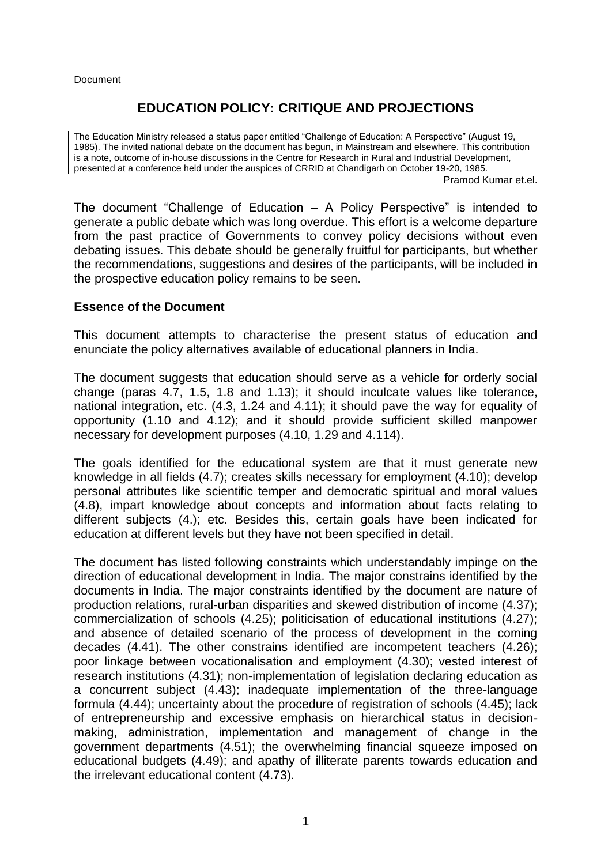#### Document

# **EDUCATION POLICY: CRITIQUE AND PROJECTIONS**

The Education Ministry released a status paper entitled "Challenge of Education: A Perspective" (August 19, 1985). The invited national debate on the document has begun, in Mainstream and elsewhere. This contribution is a note, outcome of in-house discussions in the Centre for Research in Rural and Industrial Development, presented at a conference held under the auspices of CRRID at Chandigarh on October 19-20, 1985.

Pramod Kumar et.el.

The document "Challenge of Education – A Policy Perspective" is intended to generate a public debate which was long overdue. This effort is a welcome departure from the past practice of Governments to convey policy decisions without even debating issues. This debate should be generally fruitful for participants, but whether the recommendations, suggestions and desires of the participants, will be included in the prospective education policy remains to be seen.

#### **Essence of the Document**

This document attempts to characterise the present status of education and enunciate the policy alternatives available of educational planners in India.

The document suggests that education should serve as a vehicle for orderly social change (paras 4.7, 1.5, 1.8 and 1.13); it should inculcate values like tolerance, national integration, etc. (4.3, 1.24 and 4.11); it should pave the way for equality of opportunity (1.10 and 4.12); and it should provide sufficient skilled manpower necessary for development purposes (4.10, 1.29 and 4.114).

The goals identified for the educational system are that it must generate new knowledge in all fields (4.7); creates skills necessary for employment (4.10); develop personal attributes like scientific temper and democratic spiritual and moral values (4.8), impart knowledge about concepts and information about facts relating to different subjects (4.); etc. Besides this, certain goals have been indicated for education at different levels but they have not been specified in detail.

The document has listed following constraints which understandably impinge on the direction of educational development in India. The major constrains identified by the documents in India. The major constraints identified by the document are nature of production relations, rural-urban disparities and skewed distribution of income (4.37); commercialization of schools (4.25); politicisation of educational institutions (4.27); and absence of detailed scenario of the process of development in the coming decades (4.41). The other constrains identified are incompetent teachers (4.26); poor linkage between vocationalisation and employment (4.30); vested interest of research institutions (4.31); non-implementation of legislation declaring education as a concurrent subject (4.43); inadequate implementation of the three-language formula (4.44); uncertainty about the procedure of registration of schools (4.45); lack of entrepreneurship and excessive emphasis on hierarchical status in decisionmaking, administration, implementation and management of change in the government departments (4.51); the overwhelming financial squeeze imposed on educational budgets (4.49); and apathy of illiterate parents towards education and the irrelevant educational content (4.73).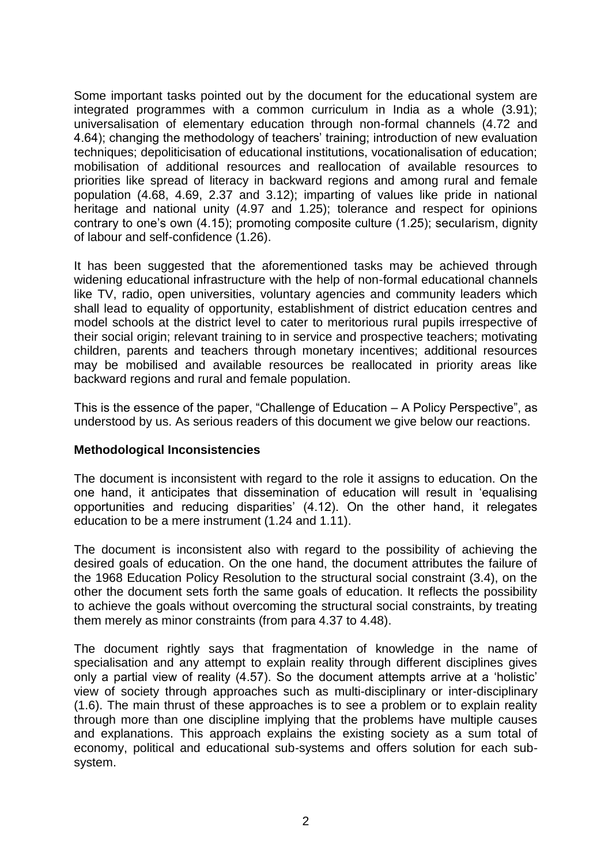Some important tasks pointed out by the document for the educational system are integrated programmes with a common curriculum in India as a whole (3.91); universalisation of elementary education through non-formal channels (4.72 and 4.64); changing the methodology of teachers' training; introduction of new evaluation techniques; depoliticisation of educational institutions, vocationalisation of education; mobilisation of additional resources and reallocation of available resources to priorities like spread of literacy in backward regions and among rural and female population (4.68, 4.69, 2.37 and 3.12); imparting of values like pride in national heritage and national unity (4.97 and 1.25); tolerance and respect for opinions contrary to one's own (4.15); promoting composite culture (1.25); secularism, dignity of labour and self-confidence (1.26).

It has been suggested that the aforementioned tasks may be achieved through widening educational infrastructure with the help of non-formal educational channels like TV, radio, open universities, voluntary agencies and community leaders which shall lead to equality of opportunity, establishment of district education centres and model schools at the district level to cater to meritorious rural pupils irrespective of their social origin; relevant training to in service and prospective teachers; motivating children, parents and teachers through monetary incentives; additional resources may be mobilised and available resources be reallocated in priority areas like backward regions and rural and female population.

This is the essence of the paper, "Challenge of Education – A Policy Perspective", as understood by us. As serious readers of this document we give below our reactions.

### **Methodological Inconsistencies**

The document is inconsistent with regard to the role it assigns to education. On the one hand, it anticipates that dissemination of education will result in 'equalising opportunities and reducing disparities' (4.12). On the other hand, it relegates education to be a mere instrument (1.24 and 1.11).

The document is inconsistent also with regard to the possibility of achieving the desired goals of education. On the one hand, the document attributes the failure of the 1968 Education Policy Resolution to the structural social constraint (3.4), on the other the document sets forth the same goals of education. It reflects the possibility to achieve the goals without overcoming the structural social constraints, by treating them merely as minor constraints (from para 4.37 to 4.48).

The document rightly says that fragmentation of knowledge in the name of specialisation and any attempt to explain reality through different disciplines gives only a partial view of reality (4.57). So the document attempts arrive at a 'holistic' view of society through approaches such as multi-disciplinary or inter-disciplinary (1.6). The main thrust of these approaches is to see a problem or to explain reality through more than one discipline implying that the problems have multiple causes and explanations. This approach explains the existing society as a sum total of economy, political and educational sub-systems and offers solution for each subsystem.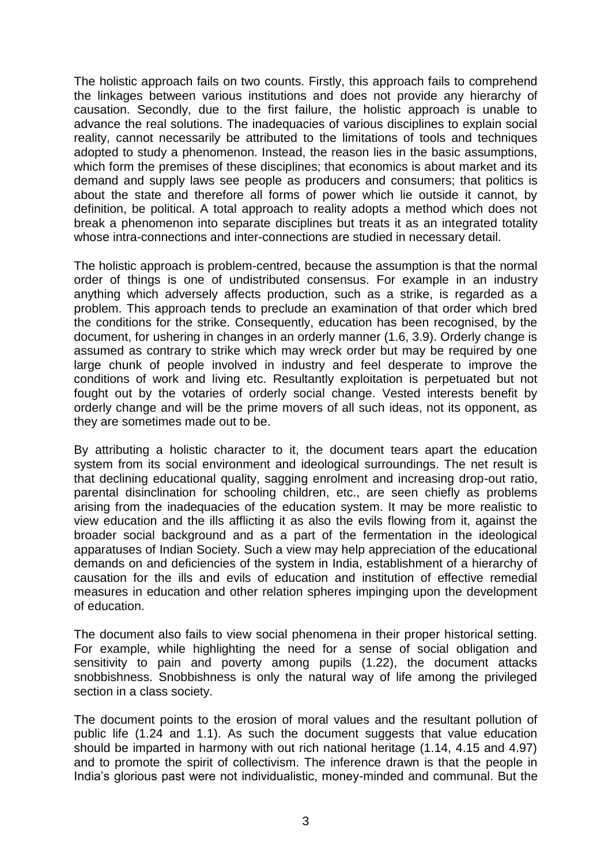The holistic approach fails on two counts. Firstly, this approach fails to comprehend the linkages between various institutions and does not provide any hierarchy of causation. Secondly, due to the first failure, the holistic approach is unable to advance the real solutions. The inadequacies of various disciplines to explain social reality, cannot necessarily be attributed to the limitations of tools and techniques adopted to study a phenomenon. Instead, the reason lies in the basic assumptions, which form the premises of these disciplines; that economics is about market and its demand and supply laws see people as producers and consumers; that politics is about the state and therefore all forms of power which lie outside it cannot, by definition, be political. A total approach to reality adopts a method which does not break a phenomenon into separate disciplines but treats it as an integrated totality whose intra-connections and inter-connections are studied in necessary detail.

The holistic approach is problem-centred, because the assumption is that the normal order of things is one of undistributed consensus. For example in an industry anything which adversely affects production, such as a strike, is regarded as a problem. This approach tends to preclude an examination of that order which bred the conditions for the strike. Consequently, education has been recognised, by the document, for ushering in changes in an orderly manner (1.6, 3.9). Orderly change is assumed as contrary to strike which may wreck order but may be required by one large chunk of people involved in industry and feel desperate to improve the conditions of work and living etc. Resultantly exploitation is perpetuated but not fought out by the votaries of orderly social change. Vested interests benefit by orderly change and will be the prime movers of all such ideas, not its opponent, as they are sometimes made out to be.

By attributing a holistic character to it, the document tears apart the education system from its social environment and ideological surroundings. The net result is that declining educational quality, sagging enrolment and increasing drop-out ratio, parental disinclination for schooling children, etc., are seen chiefly as problems arising from the inadequacies of the education system. It may be more realistic to view education and the ills afflicting it as also the evils flowing from it, against the broader social background and as a part of the fermentation in the ideological apparatuses of Indian Society. Such a view may help appreciation of the educational demands on and deficiencies of the system in India, establishment of a hierarchy of causation for the ills and evils of education and institution of effective remedial measures in education and other relation spheres impinging upon the development of education.

The document also fails to view social phenomena in their proper historical setting. For example, while highlighting the need for a sense of social obligation and sensitivity to pain and poverty among pupils (1.22), the document attacks snobbishness. Snobbishness is only the natural way of life among the privileged section in a class society.

The document points to the erosion of moral values and the resultant pollution of public life (1.24 and 1.1). As such the document suggests that value education should be imparted in harmony with out rich national heritage (1.14, 4.15 and 4.97) and to promote the spirit of collectivism. The inference drawn is that the people in India's glorious past were not individualistic, money-minded and communal. But the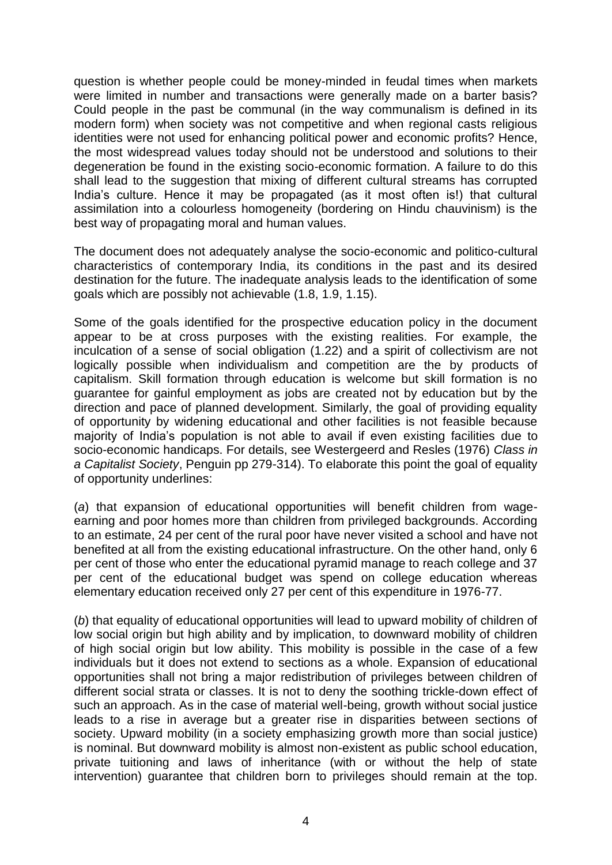question is whether people could be money-minded in feudal times when markets were limited in number and transactions were generally made on a barter basis? Could people in the past be communal (in the way communalism is defined in its modern form) when society was not competitive and when regional casts religious identities were not used for enhancing political power and economic profits? Hence, the most widespread values today should not be understood and solutions to their degeneration be found in the existing socio-economic formation. A failure to do this shall lead to the suggestion that mixing of different cultural streams has corrupted India's culture. Hence it may be propagated (as it most often is!) that cultural assimilation into a colourless homogeneity (bordering on Hindu chauvinism) is the best way of propagating moral and human values.

The document does not adequately analyse the socio-economic and politico-cultural characteristics of contemporary India, its conditions in the past and its desired destination for the future. The inadequate analysis leads to the identification of some goals which are possibly not achievable (1.8, 1.9, 1.15).

Some of the goals identified for the prospective education policy in the document appear to be at cross purposes with the existing realities. For example, the inculcation of a sense of social obligation (1.22) and a spirit of collectivism are not logically possible when individualism and competition are the by products of capitalism. Skill formation through education is welcome but skill formation is no guarantee for gainful employment as jobs are created not by education but by the direction and pace of planned development. Similarly, the goal of providing equality of opportunity by widening educational and other facilities is not feasible because majority of India's population is not able to avail if even existing facilities due to socio-economic handicaps. For details, see Westergeerd and Resles (1976) *Class in a Capitalist Society*, Penguin pp 279-314). To elaborate this point the goal of equality of opportunity underlines:

(*a*) that expansion of educational opportunities will benefit children from wageearning and poor homes more than children from privileged backgrounds. According to an estimate, 24 per cent of the rural poor have never visited a school and have not benefited at all from the existing educational infrastructure. On the other hand, only 6 per cent of those who enter the educational pyramid manage to reach college and 37 per cent of the educational budget was spend on college education whereas elementary education received only 27 per cent of this expenditure in 1976-77.

(*b*) that equality of educational opportunities will lead to upward mobility of children of low social origin but high ability and by implication, to downward mobility of children of high social origin but low ability. This mobility is possible in the case of a few individuals but it does not extend to sections as a whole. Expansion of educational opportunities shall not bring a major redistribution of privileges between children of different social strata or classes. It is not to deny the soothing trickle-down effect of such an approach. As in the case of material well-being, growth without social justice leads to a rise in average but a greater rise in disparities between sections of society. Upward mobility (in a society emphasizing growth more than social justice) is nominal. But downward mobility is almost non-existent as public school education, private tuitioning and laws of inheritance (with or without the help of state intervention) guarantee that children born to privileges should remain at the top.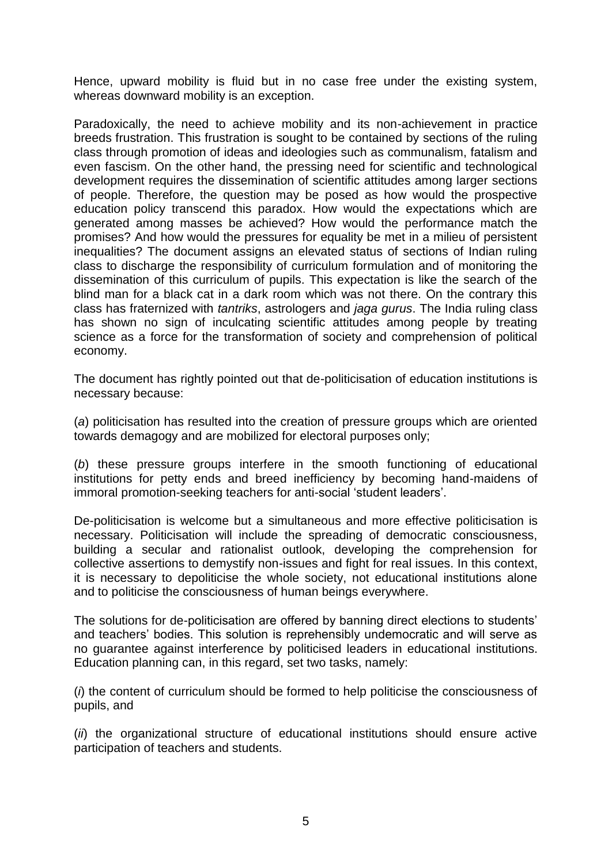Hence, upward mobility is fluid but in no case free under the existing system, whereas downward mobility is an exception.

Paradoxically, the need to achieve mobility and its non-achievement in practice breeds frustration. This frustration is sought to be contained by sections of the ruling class through promotion of ideas and ideologies such as communalism, fatalism and even fascism. On the other hand, the pressing need for scientific and technological development requires the dissemination of scientific attitudes among larger sections of people. Therefore, the question may be posed as how would the prospective education policy transcend this paradox. How would the expectations which are generated among masses be achieved? How would the performance match the promises? And how would the pressures for equality be met in a milieu of persistent inequalities? The document assigns an elevated status of sections of Indian ruling class to discharge the responsibility of curriculum formulation and of monitoring the dissemination of this curriculum of pupils. This expectation is like the search of the blind man for a black cat in a dark room which was not there. On the contrary this class has fraternized with *tantriks*, astrologers and *jaga gurus*. The India ruling class has shown no sign of inculcating scientific attitudes among people by treating science as a force for the transformation of society and comprehension of political economy.

The document has rightly pointed out that de-politicisation of education institutions is necessary because:

(*a*) politicisation has resulted into the creation of pressure groups which are oriented towards demagogy and are mobilized for electoral purposes only;

(*b*) these pressure groups interfere in the smooth functioning of educational institutions for petty ends and breed inefficiency by becoming hand-maidens of immoral promotion-seeking teachers for anti-social 'student leaders'.

De-politicisation is welcome but a simultaneous and more effective politicisation is necessary. Politicisation will include the spreading of democratic consciousness, building a secular and rationalist outlook, developing the comprehension for collective assertions to demystify non-issues and fight for real issues. In this context, it is necessary to depoliticise the whole society, not educational institutions alone and to politicise the consciousness of human beings everywhere.

The solutions for de-politicisation are offered by banning direct elections to students' and teachers' bodies. This solution is reprehensibly undemocratic and will serve as no guarantee against interference by politicised leaders in educational institutions. Education planning can, in this regard, set two tasks, namely:

(*i*) the content of curriculum should be formed to help politicise the consciousness of pupils, and

(*ii*) the organizational structure of educational institutions should ensure active participation of teachers and students.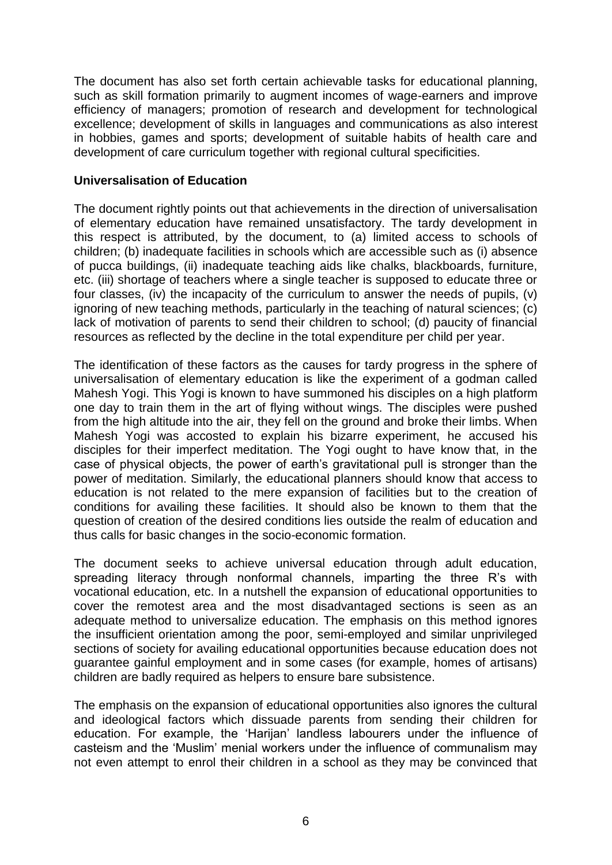The document has also set forth certain achievable tasks for educational planning, such as skill formation primarily to augment incomes of wage-earners and improve efficiency of managers; promotion of research and development for technological excellence; development of skills in languages and communications as also interest in hobbies, games and sports; development of suitable habits of health care and development of care curriculum together with regional cultural specificities.

#### **Universalisation of Education**

The document rightly points out that achievements in the direction of universalisation of elementary education have remained unsatisfactory. The tardy development in this respect is attributed, by the document, to (a) limited access to schools of children; (b) inadequate facilities in schools which are accessible such as (i) absence of pucca buildings, (ii) inadequate teaching aids like chalks, blackboards, furniture, etc. (iii) shortage of teachers where a single teacher is supposed to educate three or four classes, (iv) the incapacity of the curriculum to answer the needs of pupils, (v) ignoring of new teaching methods, particularly in the teaching of natural sciences; (c) lack of motivation of parents to send their children to school; (d) paucity of financial resources as reflected by the decline in the total expenditure per child per year.

The identification of these factors as the causes for tardy progress in the sphere of universalisation of elementary education is like the experiment of a godman called Mahesh Yogi. This Yogi is known to have summoned his disciples on a high platform one day to train them in the art of flying without wings. The disciples were pushed from the high altitude into the air, they fell on the ground and broke their limbs. When Mahesh Yogi was accosted to explain his bizarre experiment, he accused his disciples for their imperfect meditation. The Yogi ought to have know that, in the case of physical objects, the power of earth's gravitational pull is stronger than the power of meditation. Similarly, the educational planners should know that access to education is not related to the mere expansion of facilities but to the creation of conditions for availing these facilities. It should also be known to them that the question of creation of the desired conditions lies outside the realm of education and thus calls for basic changes in the socio-economic formation.

The document seeks to achieve universal education through adult education, spreading literacy through nonformal channels, imparting the three R's with vocational education, etc. In a nutshell the expansion of educational opportunities to cover the remotest area and the most disadvantaged sections is seen as an adequate method to universalize education. The emphasis on this method ignores the insufficient orientation among the poor, semi-employed and similar unprivileged sections of society for availing educational opportunities because education does not guarantee gainful employment and in some cases (for example, homes of artisans) children are badly required as helpers to ensure bare subsistence.

The emphasis on the expansion of educational opportunities also ignores the cultural and ideological factors which dissuade parents from sending their children for education. For example, the 'Harijan' landless labourers under the influence of casteism and the 'Muslim' menial workers under the influence of communalism may not even attempt to enrol their children in a school as they may be convinced that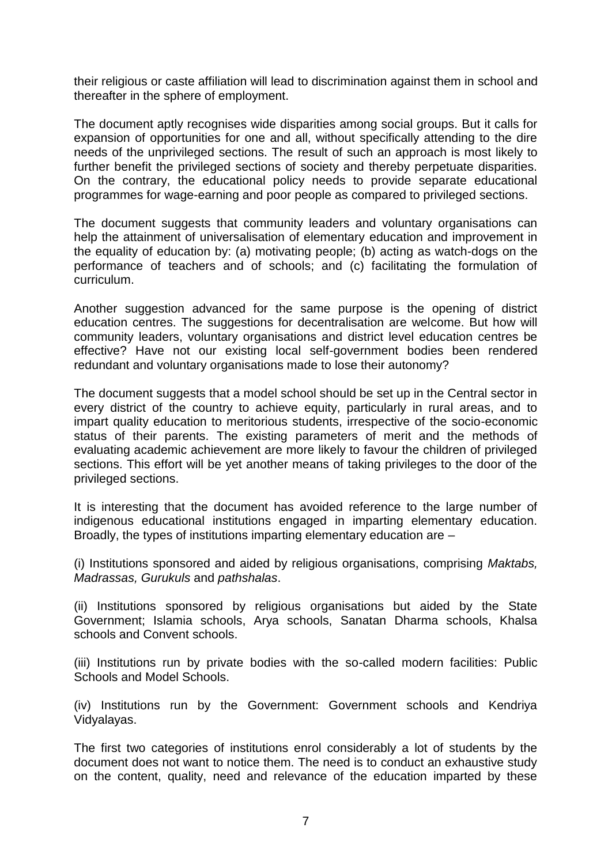their religious or caste affiliation will lead to discrimination against them in school and thereafter in the sphere of employment.

The document aptly recognises wide disparities among social groups. But it calls for expansion of opportunities for one and all, without specifically attending to the dire needs of the unprivileged sections. The result of such an approach is most likely to further benefit the privileged sections of society and thereby perpetuate disparities. On the contrary, the educational policy needs to provide separate educational programmes for wage-earning and poor people as compared to privileged sections.

The document suggests that community leaders and voluntary organisations can help the attainment of universalisation of elementary education and improvement in the equality of education by: (a) motivating people; (b) acting as watch-dogs on the performance of teachers and of schools; and (c) facilitating the formulation of curriculum.

Another suggestion advanced for the same purpose is the opening of district education centres. The suggestions for decentralisation are welcome. But how will community leaders, voluntary organisations and district level education centres be effective? Have not our existing local self-government bodies been rendered redundant and voluntary organisations made to lose their autonomy?

The document suggests that a model school should be set up in the Central sector in every district of the country to achieve equity, particularly in rural areas, and to impart quality education to meritorious students, irrespective of the socio-economic status of their parents. The existing parameters of merit and the methods of evaluating academic achievement are more likely to favour the children of privileged sections. This effort will be yet another means of taking privileges to the door of the privileged sections.

It is interesting that the document has avoided reference to the large number of indigenous educational institutions engaged in imparting elementary education. Broadly, the types of institutions imparting elementary education are –

(i) Institutions sponsored and aided by religious organisations, comprising *Maktabs, Madrassas, Gurukuls* and *pathshalas*.

(ii) Institutions sponsored by religious organisations but aided by the State Government; Islamia schools, Arya schools, Sanatan Dharma schools, Khalsa schools and Convent schools.

(iii) Institutions run by private bodies with the so-called modern facilities: Public Schools and Model Schools.

(iv) Institutions run by the Government: Government schools and Kendriya Vidyalayas.

The first two categories of institutions enrol considerably a lot of students by the document does not want to notice them. The need is to conduct an exhaustive study on the content, quality, need and relevance of the education imparted by these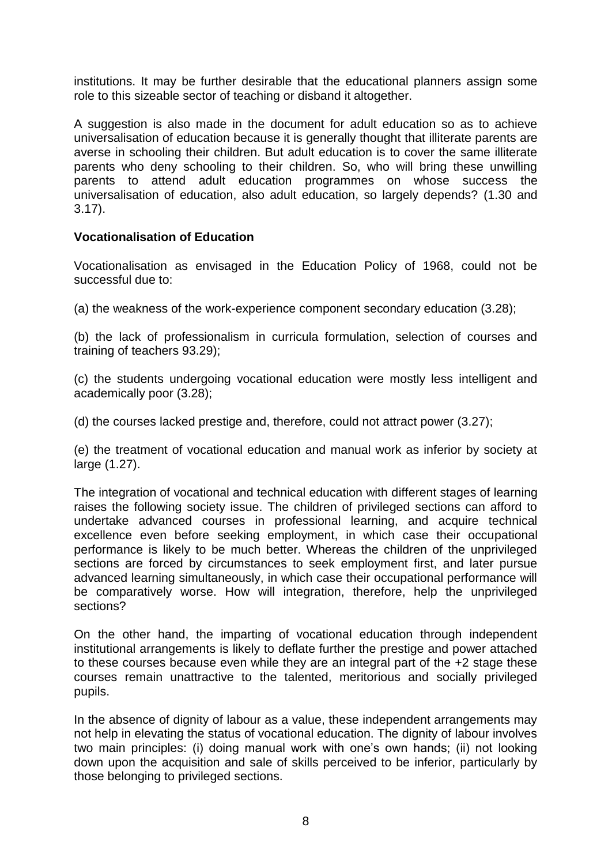institutions. It may be further desirable that the educational planners assign some role to this sizeable sector of teaching or disband it altogether.

A suggestion is also made in the document for adult education so as to achieve universalisation of education because it is generally thought that illiterate parents are averse in schooling their children. But adult education is to cover the same illiterate parents who deny schooling to their children. So, who will bring these unwilling parents to attend adult education programmes on whose success the universalisation of education, also adult education, so largely depends? (1.30 and 3.17).

## **Vocationalisation of Education**

Vocationalisation as envisaged in the Education Policy of 1968, could not be successful due to:

(a) the weakness of the work-experience component secondary education (3.28);

(b) the lack of professionalism in curricula formulation, selection of courses and training of teachers 93.29);

(c) the students undergoing vocational education were mostly less intelligent and academically poor (3.28);

(d) the courses lacked prestige and, therefore, could not attract power (3.27);

(e) the treatment of vocational education and manual work as inferior by society at large (1.27).

The integration of vocational and technical education with different stages of learning raises the following society issue. The children of privileged sections can afford to undertake advanced courses in professional learning, and acquire technical excellence even before seeking employment, in which case their occupational performance is likely to be much better. Whereas the children of the unprivileged sections are forced by circumstances to seek employment first, and later pursue advanced learning simultaneously, in which case their occupational performance will be comparatively worse. How will integration, therefore, help the unprivileged sections?

On the other hand, the imparting of vocational education through independent institutional arrangements is likely to deflate further the prestige and power attached to these courses because even while they are an integral part of the +2 stage these courses remain unattractive to the talented, meritorious and socially privileged pupils.

In the absence of dignity of labour as a value, these independent arrangements may not help in elevating the status of vocational education. The dignity of labour involves two main principles: (i) doing manual work with one's own hands; (ii) not looking down upon the acquisition and sale of skills perceived to be inferior, particularly by those belonging to privileged sections.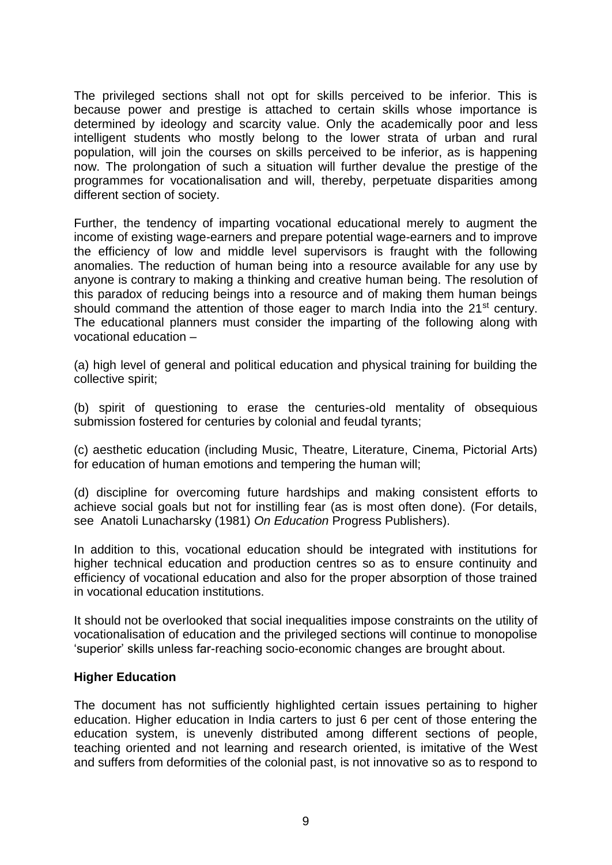The privileged sections shall not opt for skills perceived to be inferior. This is because power and prestige is attached to certain skills whose importance is determined by ideology and scarcity value. Only the academically poor and less intelligent students who mostly belong to the lower strata of urban and rural population, will join the courses on skills perceived to be inferior, as is happening now. The prolongation of such a situation will further devalue the prestige of the programmes for vocationalisation and will, thereby, perpetuate disparities among different section of society.

Further, the tendency of imparting vocational educational merely to augment the income of existing wage-earners and prepare potential wage-earners and to improve the efficiency of low and middle level supervisors is fraught with the following anomalies. The reduction of human being into a resource available for any use by anyone is contrary to making a thinking and creative human being. The resolution of this paradox of reducing beings into a resource and of making them human beings should command the attention of those eager to march India into the 21<sup>st</sup> century. The educational planners must consider the imparting of the following along with vocational education –

(a) high level of general and political education and physical training for building the collective spirit;

(b) spirit of questioning to erase the centuries-old mentality of obsequious submission fostered for centuries by colonial and feudal tyrants;

(c) aesthetic education (including Music, Theatre, Literature, Cinema, Pictorial Arts) for education of human emotions and tempering the human will;

(d) discipline for overcoming future hardships and making consistent efforts to achieve social goals but not for instilling fear (as is most often done). (For details, see Anatoli Lunacharsky (1981) *On Education* Progress Publishers).

In addition to this, vocational education should be integrated with institutions for higher technical education and production centres so as to ensure continuity and efficiency of vocational education and also for the proper absorption of those trained in vocational education institutions.

It should not be overlooked that social inequalities impose constraints on the utility of vocationalisation of education and the privileged sections will continue to monopolise 'superior' skills unless far-reaching socio-economic changes are brought about.

### **Higher Education**

The document has not sufficiently highlighted certain issues pertaining to higher education. Higher education in India carters to just 6 per cent of those entering the education system, is unevenly distributed among different sections of people, teaching oriented and not learning and research oriented, is imitative of the West and suffers from deformities of the colonial past, is not innovative so as to respond to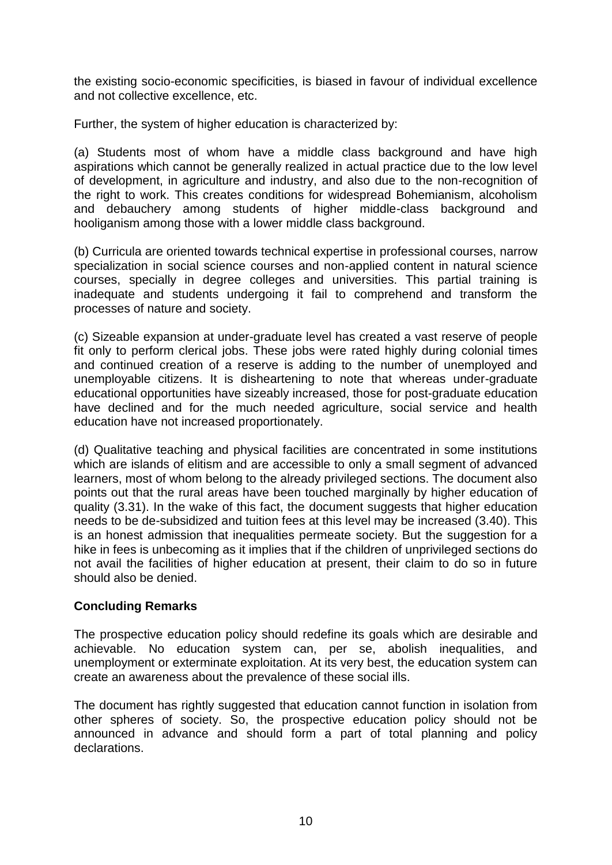the existing socio-economic specificities, is biased in favour of individual excellence and not collective excellence, etc.

Further, the system of higher education is characterized by:

(a) Students most of whom have a middle class background and have high aspirations which cannot be generally realized in actual practice due to the low level of development, in agriculture and industry, and also due to the non-recognition of the right to work. This creates conditions for widespread Bohemianism, alcoholism and debauchery among students of higher middle-class background and hooliganism among those with a lower middle class background.

(b) Curricula are oriented towards technical expertise in professional courses, narrow specialization in social science courses and non-applied content in natural science courses, specially in degree colleges and universities. This partial training is inadequate and students undergoing it fail to comprehend and transform the processes of nature and society.

(c) Sizeable expansion at under-graduate level has created a vast reserve of people fit only to perform clerical jobs. These jobs were rated highly during colonial times and continued creation of a reserve is adding to the number of unemployed and unemployable citizens. It is disheartening to note that whereas under-graduate educational opportunities have sizeably increased, those for post-graduate education have declined and for the much needed agriculture, social service and health education have not increased proportionately.

(d) Qualitative teaching and physical facilities are concentrated in some institutions which are islands of elitism and are accessible to only a small segment of advanced learners, most of whom belong to the already privileged sections. The document also points out that the rural areas have been touched marginally by higher education of quality (3.31). In the wake of this fact, the document suggests that higher education needs to be de-subsidized and tuition fees at this level may be increased (3.40). This is an honest admission that inequalities permeate society. But the suggestion for a hike in fees is unbecoming as it implies that if the children of unprivileged sections do not avail the facilities of higher education at present, their claim to do so in future should also be denied.

# **Concluding Remarks**

The prospective education policy should redefine its goals which are desirable and achievable. No education system can, per se, abolish inequalities, and unemployment or exterminate exploitation. At its very best, the education system can create an awareness about the prevalence of these social ills.

The document has rightly suggested that education cannot function in isolation from other spheres of society. So, the prospective education policy should not be announced in advance and should form a part of total planning and policy declarations.